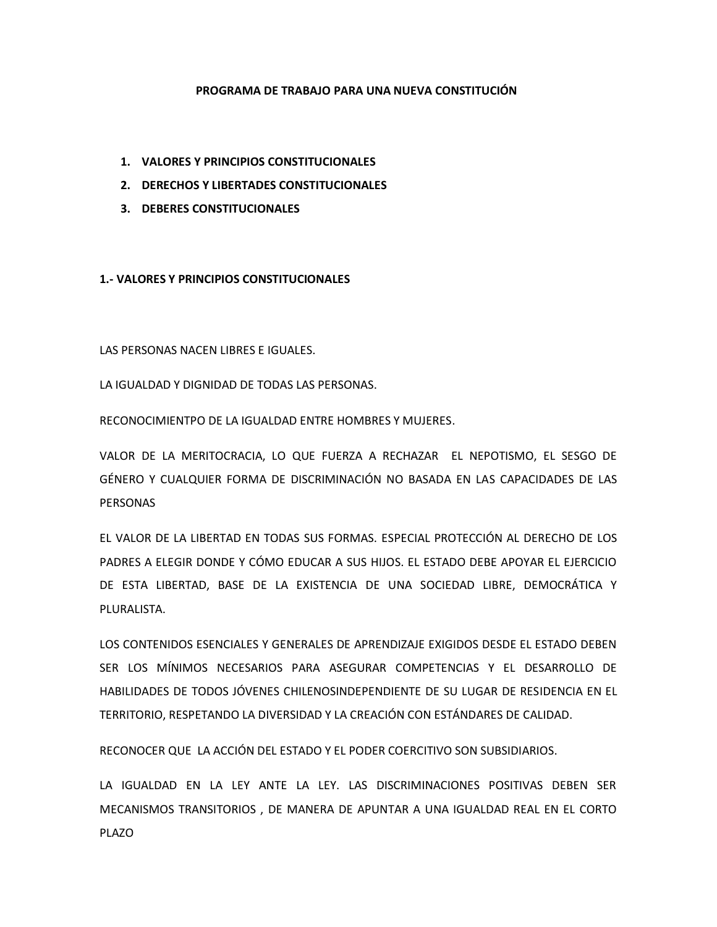## **PROGRAMA DE TRABAJO PARA UNA NUEVA CONSTITUCIÓN**

- **1. VALORES Y PRINCIPIOS CONSTITUCIONALES**
- **2. DERECHOS Y LIBERTADES CONSTITUCIONALES**
- **3. DEBERES CONSTITUCIONALES**

**1.- VALORES Y PRINCIPIOS CONSTITUCIONALES**

LAS PERSONAS NACEN LIBRES E IGUALES.

LA IGUALDAD Y DIGNIDAD DE TODAS LAS PERSONAS.

RECONOCIMIENTPO DE LA IGUALDAD ENTRE HOMBRES Y MUJERES.

VALOR DE LA MERITOCRACIA, LO QUE FUERZA A RECHAZAR EL NEPOTISMO, EL SESGO DE GÉNERO Y CUALQUIER FORMA DE DISCRIMINACIÓN NO BASADA EN LAS CAPACIDADES DE LAS PERSONAS

EL VALOR DE LA LIBERTAD EN TODAS SUS FORMAS. ESPECIAL PROTECCIÓN AL DERECHO DE LOS PADRES A ELEGIR DONDE Y CÓMO EDUCAR A SUS HIJOS. EL ESTADO DEBE APOYAR EL EJERCICIO DE ESTA LIBERTAD, BASE DE LA EXISTENCIA DE UNA SOCIEDAD LIBRE, DEMOCRÁTICA Y PLURALISTA.

LOS CONTENIDOS ESENCIALES Y GENERALES DE APRENDIZAJE EXIGIDOS DESDE EL ESTADO DEBEN SER LOS MÍNIMOS NECESARIOS PARA ASEGURAR COMPETENCIAS Y EL DESARROLLO DE HABILIDADES DE TODOS JÓVENES CHILENOSINDEPENDIENTE DE SU LUGAR DE RESIDENCIA EN EL TERRITORIO, RESPETANDO LA DIVERSIDAD Y LA CREACIÓN CON ESTÁNDARES DE CALIDAD.

RECONOCER QUE LA ACCIÓN DEL ESTADO Y EL PODER COERCITIVO SON SUBSIDIARIOS.

LA IGUALDAD EN LA LEY ANTE LA LEY. LAS DISCRIMINACIONES POSITIVAS DEBEN SER MECANISMOS TRANSITORIOS , DE MANERA DE APUNTAR A UNA IGUALDAD REAL EN EL CORTO PLAZO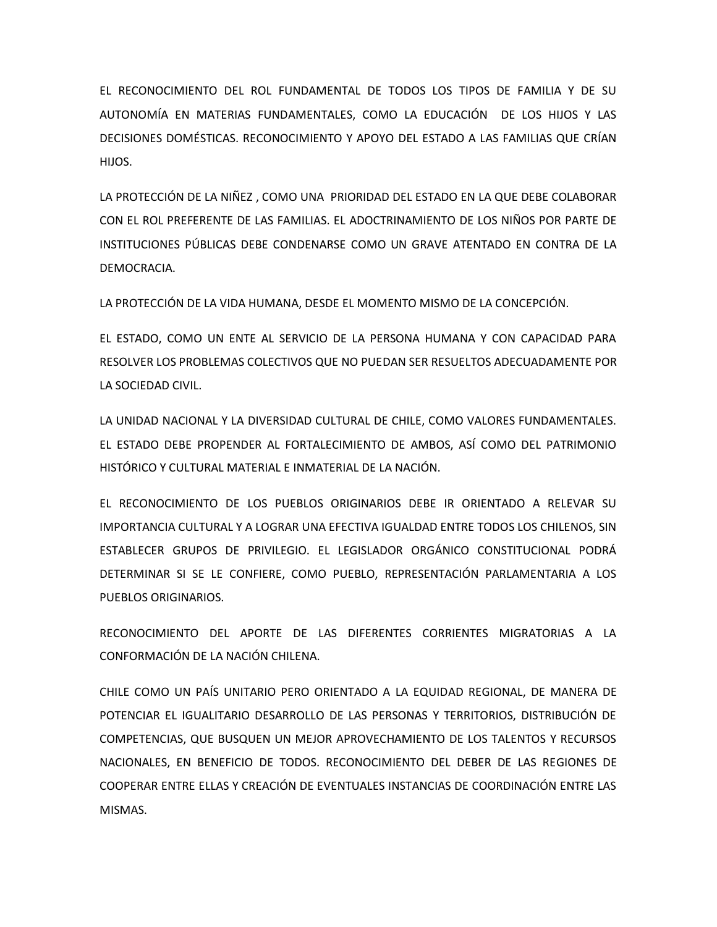EL RECONOCIMIENTO DEL ROL FUNDAMENTAL DE TODOS LOS TIPOS DE FAMILIA Y DE SU AUTONOMÍA EN MATERIAS FUNDAMENTALES, COMO LA EDUCACIÓN DE LOS HIJOS Y LAS DECISIONES DOMÉSTICAS. RECONOCIMIENTO Y APOYO DEL ESTADO A LAS FAMILIAS QUE CRÍAN HIJOS.

LA PROTECCIÓN DE LA NIÑEZ , COMO UNA PRIORIDAD DEL ESTADO EN LA QUE DEBE COLABORAR CON EL ROL PREFERENTE DE LAS FAMILIAS. EL ADOCTRINAMIENTO DE LOS NIÑOS POR PARTE DE INSTITUCIONES PÚBLICAS DEBE CONDENARSE COMO UN GRAVE ATENTADO EN CONTRA DE LA DEMOCRACIA.

LA PROTECCIÓN DE LA VIDA HUMANA, DESDE EL MOMENTO MISMO DE LA CONCEPCIÓN.

EL ESTADO, COMO UN ENTE AL SERVICIO DE LA PERSONA HUMANA Y CON CAPACIDAD PARA RESOLVER LOS PROBLEMAS COLECTIVOS QUE NO PUEDAN SER RESUELTOS ADECUADAMENTE POR LA SOCIEDAD CIVIL.

LA UNIDAD NACIONAL Y LA DIVERSIDAD CULTURAL DE CHILE, COMO VALORES FUNDAMENTALES. EL ESTADO DEBE PROPENDER AL FORTALECIMIENTO DE AMBOS, ASÍ COMO DEL PATRIMONIO HISTÓRICO Y CULTURAL MATERIAL E INMATERIAL DE LA NACIÓN.

EL RECONOCIMIENTO DE LOS PUEBLOS ORIGINARIOS DEBE IR ORIENTADO A RELEVAR SU IMPORTANCIA CULTURAL Y A LOGRAR UNA EFECTIVA IGUALDAD ENTRE TODOS LOS CHILENOS, SIN ESTABLECER GRUPOS DE PRIVILEGIO. EL LEGISLADOR ORGÁNICO CONSTITUCIONAL PODRÁ DETERMINAR SI SE LE CONFIERE, COMO PUEBLO, REPRESENTACIÓN PARLAMENTARIA A LOS PUEBLOS ORIGINARIOS.

RECONOCIMIENTO DEL APORTE DE LAS DIFERENTES CORRIENTES MIGRATORIAS A LA CONFORMACIÓN DE LA NACIÓN CHILENA.

CHILE COMO UN PAÍS UNITARIO PERO ORIENTADO A LA EQUIDAD REGIONAL, DE MANERA DE POTENCIAR EL IGUALITARIO DESARROLLO DE LAS PERSONAS Y TERRITORIOS, DISTRIBUCIÓN DE COMPETENCIAS, QUE BUSQUEN UN MEJOR APROVECHAMIENTO DE LOS TALENTOS Y RECURSOS NACIONALES, EN BENEFICIO DE TODOS. RECONOCIMIENTO DEL DEBER DE LAS REGIONES DE COOPERAR ENTRE ELLAS Y CREACIÓN DE EVENTUALES INSTANCIAS DE COORDINACIÓN ENTRE LAS MISMAS.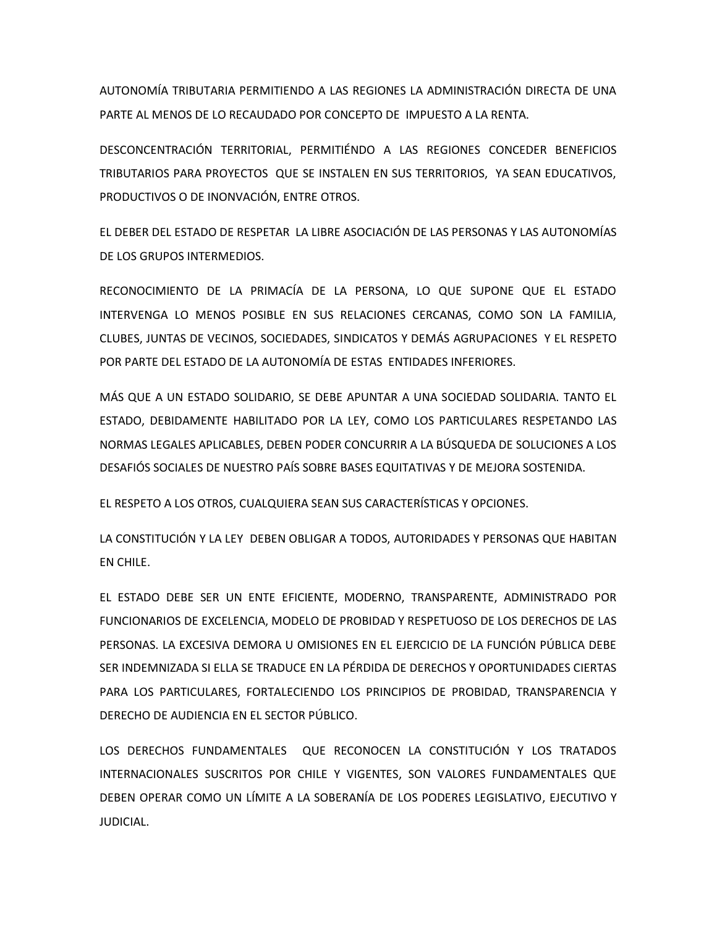AUTONOMÍA TRIBUTARIA PERMITIENDO A LAS REGIONES LA ADMINISTRACIÓN DIRECTA DE UNA PARTE AL MENOS DE LO RECAUDADO POR CONCEPTO DE IMPUESTO A LA RENTA.

DESCONCENTRACIÓN TERRITORIAL, PERMITIÉNDO A LAS REGIONES CONCEDER BENEFICIOS TRIBUTARIOS PARA PROYECTOS QUE SE INSTALEN EN SUS TERRITORIOS, YA SEAN EDUCATIVOS, PRODUCTIVOS O DE INONVACIÓN, ENTRE OTROS.

EL DEBER DEL ESTADO DE RESPETAR LA LIBRE ASOCIACIÓN DE LAS PERSONAS Y LAS AUTONOMÍAS DE LOS GRUPOS INTERMEDIOS.

RECONOCIMIENTO DE LA PRIMACÍA DE LA PERSONA, LO QUE SUPONE QUE EL ESTADO INTERVENGA LO MENOS POSIBLE EN SUS RELACIONES CERCANAS, COMO SON LA FAMILIA, CLUBES, JUNTAS DE VECINOS, SOCIEDADES, SINDICATOS Y DEMÁS AGRUPACIONES Y EL RESPETO POR PARTE DEL ESTADO DE LA AUTONOMÍA DE ESTAS ENTIDADES INFERIORES.

MÁS QUE A UN ESTADO SOLIDARIO, SE DEBE APUNTAR A UNA SOCIEDAD SOLIDARIA. TANTO EL ESTADO, DEBIDAMENTE HABILITADO POR LA LEY, COMO LOS PARTICULARES RESPETANDO LAS NORMAS LEGALES APLICABLES, DEBEN PODER CONCURRIR A LA BÚSQUEDA DE SOLUCIONES A LOS DESAFIÓS SOCIALES DE NUESTRO PAÍS SOBRE BASES EQUITATIVAS Y DE MEJORA SOSTENIDA.

EL RESPETO A LOS OTROS, CUALQUIERA SEAN SUS CARACTERÍSTICAS Y OPCIONES.

LA CONSTITUCIÓN Y LA LEY DEBEN OBLIGAR A TODOS, AUTORIDADES Y PERSONAS QUE HABITAN EN CHILE.

EL ESTADO DEBE SER UN ENTE EFICIENTE, MODERNO, TRANSPARENTE, ADMINISTRADO POR FUNCIONARIOS DE EXCELENCIA, MODELO DE PROBIDAD Y RESPETUOSO DE LOS DERECHOS DE LAS PERSONAS. LA EXCESIVA DEMORA U OMISIONES EN EL EJERCICIO DE LA FUNCIÓN PÚBLICA DEBE SER INDEMNIZADA SI ELLA SE TRADUCE EN LA PÉRDIDA DE DERECHOS Y OPORTUNIDADES CIERTAS PARA LOS PARTICULARES, FORTALECIENDO LOS PRINCIPIOS DE PROBIDAD, TRANSPARENCIA Y DERECHO DE AUDIENCIA EN EL SECTOR PÚBLICO.

LOS DERECHOS FUNDAMENTALES QUE RECONOCEN LA CONSTITUCIÓN Y LOS TRATADOS INTERNACIONALES SUSCRITOS POR CHILE Y VIGENTES, SON VALORES FUNDAMENTALES QUE DEBEN OPERAR COMO UN LÍMITE A LA SOBERANÍA DE LOS PODERES LEGISLATIVO, EJECUTIVO Y JUDICIAL.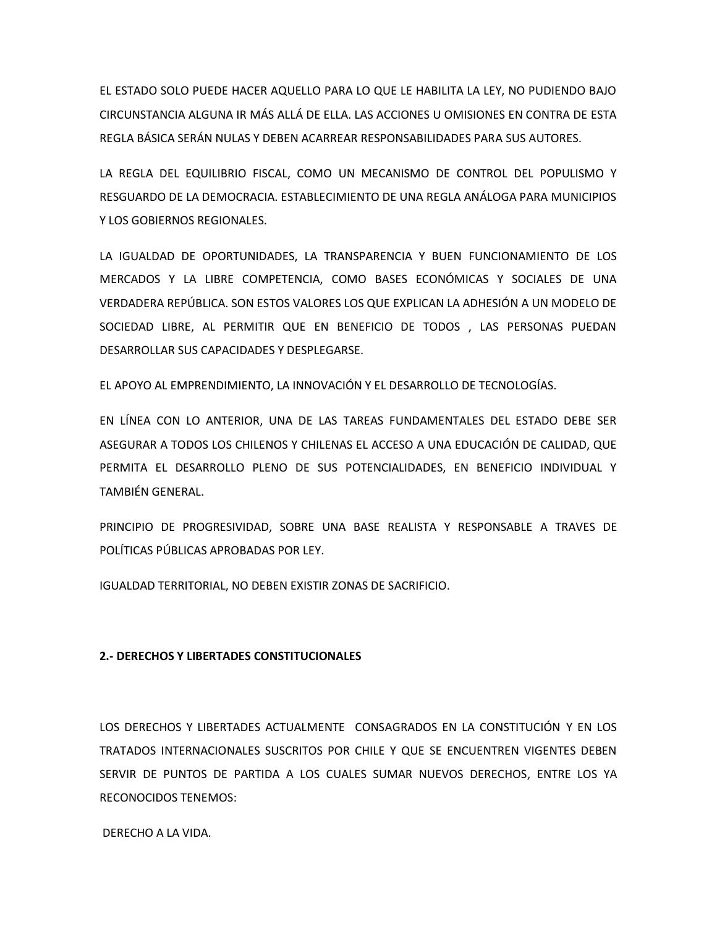EL ESTADO SOLO PUEDE HACER AQUELLO PARA LO QUE LE HABILITA LA LEY, NO PUDIENDO BAJO CIRCUNSTANCIA ALGUNA IR MÁS ALLÁ DE ELLA. LAS ACCIONES U OMISIONES EN CONTRA DE ESTA REGLA BÁSICA SERÁN NULAS Y DEBEN ACARREAR RESPONSABILIDADES PARA SUS AUTORES.

LA REGLA DEL EQUILIBRIO FISCAL, COMO UN MECANISMO DE CONTROL DEL POPULISMO Y RESGUARDO DE LA DEMOCRACIA. ESTABLECIMIENTO DE UNA REGLA ANÁLOGA PARA MUNICIPIOS Y LOS GOBIERNOS REGIONALES.

LA IGUALDAD DE OPORTUNIDADES, LA TRANSPARENCIA Y BUEN FUNCIONAMIENTO DE LOS MERCADOS Y LA LIBRE COMPETENCIA, COMO BASES ECONÓMICAS Y SOCIALES DE UNA VERDADERA REPÚBLICA. SON ESTOS VALORES LOS QUE EXPLICAN LA ADHESIÓN A UN MODELO DE SOCIEDAD LIBRE, AL PERMITIR QUE EN BENEFICIO DE TODOS , LAS PERSONAS PUEDAN DESARROLLAR SUS CAPACIDADES Y DESPLEGARSE.

EL APOYO AL EMPRENDIMIENTO, LA INNOVACIÓN Y EL DESARROLLO DE TECNOLOGÍAS.

EN LÍNEA CON LO ANTERIOR, UNA DE LAS TAREAS FUNDAMENTALES DEL ESTADO DEBE SER ASEGURAR A TODOS LOS CHILENOS Y CHILENAS EL ACCESO A UNA EDUCACIÓN DE CALIDAD, QUE PERMITA EL DESARROLLO PLENO DE SUS POTENCIALIDADES, EN BENEFICIO INDIVIDUAL Y TAMBIÉN GENERAL.

PRINCIPIO DE PROGRESIVIDAD, SOBRE UNA BASE REALISTA Y RESPONSABLE A TRAVES DE POLÍTICAS PÚBLICAS APROBADAS POR LEY.

IGUALDAD TERRITORIAL, NO DEBEN EXISTIR ZONAS DE SACRIFICIO.

## **2.- DERECHOS Y LIBERTADES CONSTITUCIONALES**

LOS DERECHOS Y LIBERTADES ACTUALMENTE CONSAGRADOS EN LA CONSTITUCIÓN Y EN LOS TRATADOS INTERNACIONALES SUSCRITOS POR CHILE Y QUE SE ENCUENTREN VIGENTES DEBEN SERVIR DE PUNTOS DE PARTIDA A LOS CUALES SUMAR NUEVOS DERECHOS, ENTRE LOS YA RECONOCIDOS TENEMOS:

DERECHO A LA VIDA.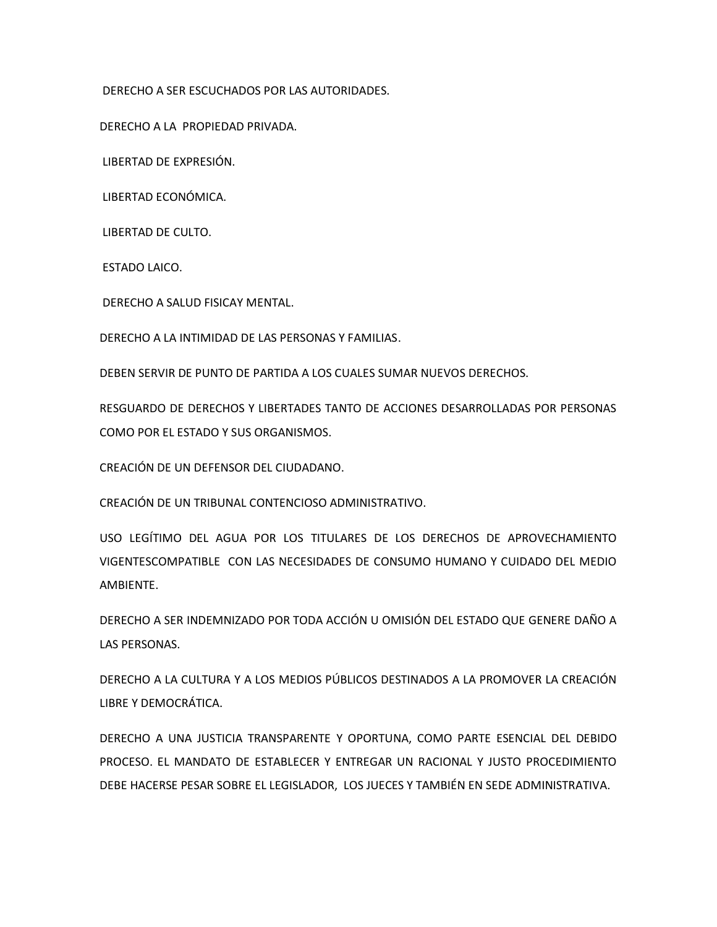DERECHO A SER ESCUCHADOS POR LAS AUTORIDADES.

DERECHO A LA PROPIEDAD PRIVADA.

LIBERTAD DE EXPRESIÓN.

LIBERTAD ECONÓMICA.

LIBERTAD DE CULTO.

ESTADO LAICO.

DERECHO A SALUD FISICAY MENTAL.

DERECHO A LA INTIMIDAD DE LAS PERSONAS Y FAMILIAS.

DEBEN SERVIR DE PUNTO DE PARTIDA A LOS CUALES SUMAR NUEVOS DERECHOS.

RESGUARDO DE DERECHOS Y LIBERTADES TANTO DE ACCIONES DESARROLLADAS POR PERSONAS COMO POR EL ESTADO Y SUS ORGANISMOS.

CREACIÓN DE UN DEFENSOR DEL CIUDADANO.

CREACIÓN DE UN TRIBUNAL CONTENCIOSO ADMINISTRATIVO.

USO LEGÍTIMO DEL AGUA POR LOS TITULARES DE LOS DERECHOS DE APROVECHAMIENTO VIGENTESCOMPATIBLE CON LAS NECESIDADES DE CONSUMO HUMANO Y CUIDADO DEL MEDIO AMBIENTE.

DERECHO A SER INDEMNIZADO POR TODA ACCIÓN U OMISIÓN DEL ESTADO QUE GENERE DAÑO A LAS PERSONAS.

DERECHO A LA CULTURA Y A LOS MEDIOS PÚBLICOS DESTINADOS A LA PROMOVER LA CREACIÓN LIBRE Y DEMOCRÁTICA.

DERECHO A UNA JUSTICIA TRANSPARENTE Y OPORTUNA, COMO PARTE ESENCIAL DEL DEBIDO PROCESO. EL MANDATO DE ESTABLECER Y ENTREGAR UN RACIONAL Y JUSTO PROCEDIMIENTO DEBE HACERSE PESAR SOBRE EL LEGISLADOR, LOS JUECES Y TAMBIÉN EN SEDE ADMINISTRATIVA.